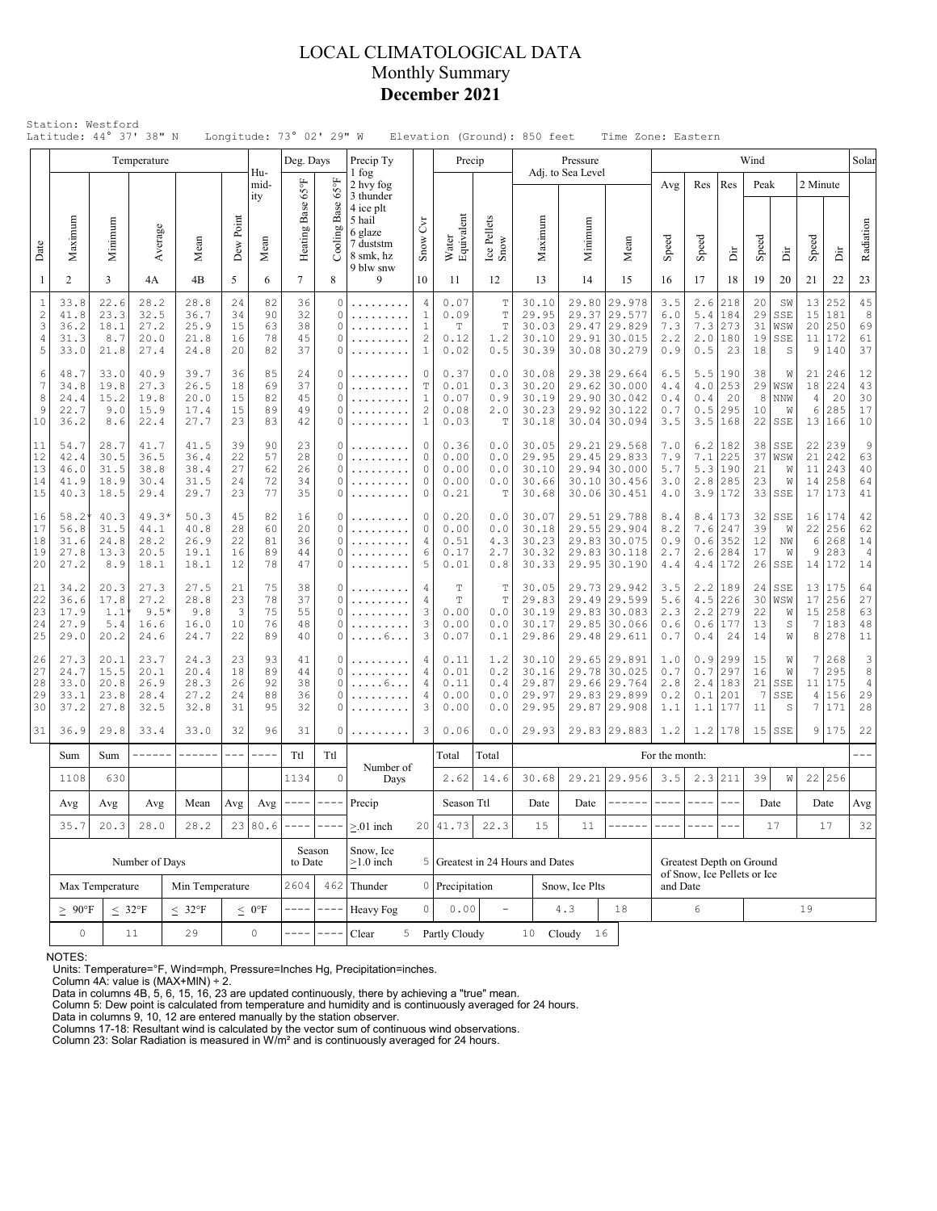# LOCAL CLIMATOLOGICAL DATA Monthly Summary **December 2021**

|                                                   |                                                                                                        |                                                           | Temperature                                                                                                |                                      |                            |                            | Longitude: 73° 02' 29" W<br>Deg. Days                                                                                                                                                                                                                                                                                                                                                                       |                                     | Precip Ty                                                                          |                                                                 | Precip                                              |                                           |                                           | Pressure                                                                     |                                                                              |                                 |                                 |                                                         |                                                 | Wind                        |                              |                                         |                                        | Solar                                  |
|---------------------------------------------------|--------------------------------------------------------------------------------------------------------|-----------------------------------------------------------|------------------------------------------------------------------------------------------------------------|--------------------------------------|----------------------------|----------------------------|-------------------------------------------------------------------------------------------------------------------------------------------------------------------------------------------------------------------------------------------------------------------------------------------------------------------------------------------------------------------------------------------------------------|-------------------------------------|------------------------------------------------------------------------------------|-----------------------------------------------------------------|-----------------------------------------------------|-------------------------------------------|-------------------------------------------|------------------------------------------------------------------------------|------------------------------------------------------------------------------|---------------------------------|---------------------------------|---------------------------------------------------------|-------------------------------------------------|-----------------------------|------------------------------|-----------------------------------------|----------------------------------------|----------------------------------------|
|                                                   |                                                                                                        |                                                           |                                                                                                            |                                      |                            | Hu-<br>mid-                |                                                                                                                                                                                                                                                                                                                                                                                                             | $_{\rm 959}$                        | 1 fog<br>2 hvy fog                                                                 |                                                                 |                                                     |                                           |                                           | Adj. to Sea Level                                                            |                                                                              |                                 | Avg                             | Res                                                     | Res                                             | Peak                        |                              | 2 Minute                                |                                        |                                        |
| Date                                              | Maximum                                                                                                | Minimum                                                   | Average                                                                                                    | Mean                                 | Dew Point                  | ity<br>Mean                | Heating Base 65°F                                                                                                                                                                                                                                                                                                                                                                                           | Base<br>Cooling 1                   | 3 thunder<br>4 ice plt<br>5 hail<br>6 glaze<br>7 duststm<br>8 smk, hz<br>9 blw snw | Čч<br>Snow                                                      | Water<br>Equivalent                                 | Ice Pellets<br>Snow                       | Maximum                                   | Minimum                                                                      |                                                                              | Mean                            | Speed                           | Speed                                                   | ă                                               | Speed                       | ă                            | Speed                                   | İ                                      | Radiation                              |
| $\mathbf{1}$                                      | $\overline{2}$                                                                                         | 3                                                         | 4A                                                                                                         | 4B                                   | 5                          | 6                          | $7\overline{ }$                                                                                                                                                                                                                                                                                                                                                                                             | 8                                   | 9                                                                                  | 10                                                              | 11                                                  | 12                                        | 13                                        | 14                                                                           |                                                                              | 15                              | 16                              | 17                                                      | 18                                              | 19                          | 20                           | 21                                      | 22                                     | 23                                     |
| $\,1\,$<br>$\sqrt{2}$<br>3<br>$\overline{4}$<br>5 | 33.8<br>41.8<br>36.2<br>31.3<br>33.0                                                                   | 22.6<br>23.3<br>18.1<br>8.7<br>21.8                       | 28.2<br>32.5<br>27.2<br>20.0<br>27.4                                                                       | 28.8<br>36.7<br>25.9<br>21.8<br>24.8 | 24<br>34<br>15<br>16<br>20 | 82<br>90<br>63<br>78<br>82 | 36<br>32<br>38<br>45<br>37                                                                                                                                                                                                                                                                                                                                                                                  | $\Omega$<br>0<br>0<br>$\Omega$<br>0 | .<br>.                                                                             | 4<br>$\mathbf{1}$<br>$\mathbf{1}$<br>$\sqrt{2}$<br>$\mathbf{1}$ | 0.07<br>0.09<br>T<br>0.12<br>0.02                   | T<br>T<br>T<br>1.2<br>0.5                 | 30.10<br>29.95<br>30.03<br>30.10<br>30.39 | 29.80<br>29.37                                                               | 29.577<br>29.47 29.829<br>29.91 30.015<br>30.08 30.279                       | 29.978                          | 3.5<br>6.0<br>7.3<br>2.2<br>0.9 | 2.6<br>5.4<br>7.3<br>2.0<br>0.5                         | 218<br>184<br>273<br>180<br>23                  | 20<br>29<br>31<br>19<br>18  | SW<br>SSE<br>WSW<br>SSE<br>S | 13<br>15<br>20 <br>11<br>9              | 252<br>181<br>250<br>172<br>140        | 45<br>$^{\rm 8}$<br>69<br>61<br>37     |
| 6<br>7<br>8<br>9<br>10                            | 48.7<br>34.8<br>24.4<br>22.7<br>36.2                                                                   | 33.0<br>19.8<br>15.2<br>9.0<br>8.6                        | 40.9<br>27.3<br>19.8<br>15.9<br>22.4                                                                       | 39.7<br>26.5<br>20.0<br>17.4<br>27.7 | 36<br>18<br>15<br>15<br>23 | 85<br>69<br>82<br>89<br>83 | 24<br>37<br>45<br>49<br>42                                                                                                                                                                                                                                                                                                                                                                                  | 0<br>0<br>0<br>0<br>0               | .<br>.                                                                             | 0<br>T<br>$\mathbf{1}$<br>$\overline{c}$<br>$\mathbf{1}$        | 0.37<br>0.01<br>0.07<br>0.08<br>0.03                | 0.0<br>0.3<br>0.9<br>2.0<br>Т             | 30.08<br>30.20<br>30.19<br>30.23<br>30.18 |                                                                              | 29.38 29.664<br>29.62 30.000<br>29.90 30.042<br>29.92 30.122<br>30.04 30.094 |                                 | 6.5<br>4.4<br>0.4<br>0.7<br>3.5 | 5.5<br>4.0<br>0.4<br>0.5<br>3.5                         | 190<br>253<br>20<br>295<br>168                  | 38<br>29<br>8<br>10<br>22   | W<br>WSW<br>NNW<br>W<br>SSE  | 21<br>18<br>$\overline{4}$<br>6<br>13   | 246<br>224<br>20<br>285<br>166         | 12<br>43<br>30<br>17<br>10             |
| 11<br>12<br>13<br>14<br>15                        | 54.7<br>42.4<br>46.0<br>41.9<br>40.3                                                                   | 28.7<br>30.5<br>31.5<br>18.9<br>18.5                      | 41.5<br>39<br>41.7<br>36.5<br>36.4<br>22<br>38.8<br>38.4<br>27<br>31.5<br>24<br>30.4<br>23<br>29.4<br>29.7 |                                      | 90<br>57<br>62<br>72<br>77 | 23<br>28<br>26<br>34<br>35 | 0<br>0<br>$\Omega$<br>$\Omega$<br>0                                                                                                                                                                                                                                                                                                                                                                         | .<br>.<br>.<br>.                    | $\circ$<br>$\circ$<br>$\circ$<br>$\mathbf{0}$<br>$\circ$                           | 0.36<br>0.00<br>0.00<br>0.00<br>0.21                            | 0.0<br>0.0<br>0.0<br>0.0<br>Т                       | 30.05<br>29.95<br>30.10<br>30.66<br>30.68 |                                           | 29.21 29.568<br>29.45 29.833<br>29.94 30.000<br>30.10 30.456<br>30.06 30.451 |                                                                              | 7.0<br>7.9<br>5.7<br>3.0<br>4.0 | 6.2<br>7.1<br>5.3<br>2.8<br>3.9 | 182<br>225<br>190<br>285<br>172                         | 38<br>37<br>21<br>23<br>33                      | SSE<br>WSW<br>W<br>W<br>SSE | 22<br>21<br>11<br>14<br>17   | 239<br>242<br>243<br>258<br>173         | $\overline{9}$<br>63<br>40<br>64<br>41 |                                        |
| 16<br>17<br>18<br>19<br>20                        | $58.2^{\circ}$<br>56.8<br>31.6<br>27.8<br>27.2                                                         | 40.3<br>31.5<br>24.8<br>13.3<br>8.9                       | $49.3*$<br>44.1<br>28.2<br>20.5<br>18.1                                                                    | 50.3<br>40.8<br>26.9<br>19.1<br>18.1 | 45<br>28<br>22<br>16<br>12 | 82<br>60<br>81<br>89<br>78 | 16<br>20<br>36<br>44<br>47                                                                                                                                                                                                                                                                                                                                                                                  | 0<br>$\Omega$<br>$\Omega$<br>0<br>0 | .                                                                                  | $\circ$<br>$\circ$<br>4<br>6<br>5                               |                                                     | 0.0<br>0.0<br>4.3<br>2.7<br>0.8           | 30.07<br>30.18<br>30.23<br>30.32<br>30.33 |                                                                              | 29.51 29.788<br>29.55 29.904<br>29.83 30.075<br>29.83 30.118<br>29.95 30.190 |                                 | 8.4<br>8.2<br>0.9<br>2.7<br>4.4 | 7.6<br>0.6<br>2.6                                       | $8.4$   173<br>247<br>352<br>284<br>$4.4$   172 | 32<br>39<br>12<br>17<br>26  | SSE<br>W<br>ΝW<br>W<br>SSE   | 16<br>22<br>6<br>9<br>14                | 174<br>256<br>268<br>283<br>172        | 42<br>62<br>14<br>$\overline{4}$<br>14 |
| 21<br>22<br>23<br>24<br>25                        | 34.2<br>36.6<br>17.9<br>27.9<br>29.0                                                                   | 20.3<br>17.8<br>1.1<br>5.4<br>20.2                        | 27.3<br>27.2<br>$9.5*$<br>16.6<br>24.6                                                                     | 27.5<br>28.8<br>9.8<br>16.0<br>24.7  | 21<br>23<br>3<br>10<br>22  | 75<br>78<br>75<br>76<br>89 | 38<br>37<br>55<br>48<br>40                                                                                                                                                                                                                                                                                                                                                                                  | 0<br>$\Omega$<br>$\Omega$<br>0<br>0 | .<br>. 6                                                                           | 4<br>$\overline{4}$<br>3<br>$\mathsf 3$<br>3                    | T<br>T<br>0.00<br>0.00<br>0.07                      | T<br>T<br>0.0<br>0.0<br>0.1               | 30.05<br>29.83<br>30.19<br>30.17<br>29.86 | 29.49                                                                        | 29.73 29.942<br> 29.599<br>29.83 30.083<br>29.85 30.066<br>29.48 29.611      |                                 | 3.5<br>5.6<br>2.3<br>0.6<br>0.7 | 2.2<br>4.5<br>2.2<br>0.6<br>0.4                         | 189<br>226<br>279<br>177<br>24                  | 24<br>30<br>22<br>13<br>14  | SSE<br>WSW<br>W<br>S<br>W    | 13<br>17<br>15<br>$\boldsymbol{7}$<br>8 | 175<br>256<br>258<br>183<br>278        | 64<br>27<br>63<br>48<br>11             |
| 26<br>27<br>28<br>29<br>30                        | 27.3<br>24.7<br>33.0<br>33.1<br>37.2                                                                   | 20.1<br>15.5<br>20.8<br>23.8<br>27.8                      | 23.7<br>20.1<br>26.9<br>28.4<br>32.5                                                                       | 24.3<br>20.4<br>28.3<br>27.2<br>32.8 | 23<br>18<br>26<br>24<br>31 | 93<br>89<br>92<br>88<br>95 | 41<br>44<br>38<br>36<br>32                                                                                                                                                                                                                                                                                                                                                                                  | 0<br>$\Omega$<br>0<br>0<br>0        | . 6                                                                                | 4<br>4<br>4<br>4<br>3                                           | 0.11<br>0.01<br>0.11<br>0.00<br>0.00                | 1.2<br>0.2<br>0.4<br>0.0<br>0.0           | 30.10<br>30.16<br>29.87<br>29.97<br>29.95 | 29.78<br>29.87                                                               | 29.65 29.891<br> 30.025<br>29.66 29.764<br>29.83 29.899<br> 29.908           |                                 | 1.0<br>0.7<br>2.8<br>0.2<br>1.1 | 0.9<br>0.7<br>2.4<br>$0.1$<br>1.1                       | 299<br>297<br>183<br>201<br>177                 | 15<br>16<br>21<br>7<br>11   | W<br>W<br>SSE<br>SSE<br>S    | 7<br>7<br>11<br>4<br>7                  | 268<br>295<br>175<br>156<br>171        | 3<br>8<br>$\overline{4}$<br>29<br>28   |
| 31                                                | 36.9                                                                                                   | 29.8                                                      | 33.4                                                                                                       | 33.0                                 | 32                         | 96                         | 31                                                                                                                                                                                                                                                                                                                                                                                                          | 0                                   | .                                                                                  | 3                                                               | 0.06                                                | 0.0                                       | 29.93                                     |                                                                              | 29.83 29.883                                                                 |                                 | 1.2                             |                                                         | $1.2$   178                                     |                             | $15$ SSE                     |                                         | 9 175                                  | 22                                     |
|                                                   | Sum                                                                                                    | Sum                                                       | ------                                                                                                     | ------                               | $\qquad \qquad - -$        | $\frac{1}{2}$              | Ttl                                                                                                                                                                                                                                                                                                                                                                                                         | Ttl                                 | Number of                                                                          |                                                                 | Total                                               | Total                                     |                                           |                                                                              |                                                                              |                                 | For the month:                  |                                                         |                                                 |                             |                              |                                         |                                        |                                        |
|                                                   | 1108                                                                                                   | 630                                                       |                                                                                                            | Avg                                  | Avg                        | 1134<br>$--- -$            | $\mathbf 0$<br>$\frac{1}{2} \frac{1}{2} \frac{1}{2} \frac{1}{2} \frac{1}{2} \frac{1}{2} \frac{1}{2} \frac{1}{2} \frac{1}{2} \frac{1}{2} \frac{1}{2} \frac{1}{2} \frac{1}{2} \frac{1}{2} \frac{1}{2} \frac{1}{2} \frac{1}{2} \frac{1}{2} \frac{1}{2} \frac{1}{2} \frac{1}{2} \frac{1}{2} \frac{1}{2} \frac{1}{2} \frac{1}{2} \frac{1}{2} \frac{1}{2} \frac{1}{2} \frac{1}{2} \frac{1}{2} \frac{1}{2} \frac{$ | Days                                |                                                                                    | 2.62                                                            | 14.6                                                | 30.68                                     |                                           | 29.21 29.956                                                                 | -------                                                                      | 3.5<br>$- - - - -$              | 2.3<br>$- - - -$                | 211<br>$---$                                            | 39                                              | W                           | 22                           | 256                                     |                                        |                                        |
|                                                   |                                                                                                        | Avg<br>Avg<br>Mean<br>Avg<br>28.0<br>28.2<br>35.7<br>20.3 |                                                                                                            |                                      |                            |                            |                                                                                                                                                                                                                                                                                                                                                                                                             |                                     | Precip                                                                             |                                                                 | Season Ttl<br>20 41.73                              | 22.3                                      | Date<br>15                                | Date<br>11                                                                   |                                                                              |                                 |                                 |                                                         |                                                 |                             | Date<br>17                   | Date                                    | 17                                     | Avg<br>32                              |
|                                                   | Number of Days                                                                                         |                                                           |                                                                                                            |                                      |                            | 23 80.6                    |                                                                                                                                                                                                                                                                                                                                                                                                             | Season<br>to Date<br>462 Thunder    | $> 01$ inch<br>Snow, Ice<br>$>1.0$ inch                                            |                                                                 | 5 Greatest in 24 Hours and Dates<br>0 Precipitation |                                           |                                           | Snow, Ice Plts                                                               |                                                                              |                                 | and Date                        | Greatest Depth on Ground<br>of Snow, Ice Pellets or Ice |                                                 |                             |                              |                                         |                                        |                                        |
|                                                   | Max Temperature<br>Min Temperature<br>$\leq 32^{\circ}F$<br>$< 32^{\circ}F$<br>$\geq~90^{\circ}\rm{F}$ |                                                           |                                                                                                            |                                      |                            | $\leq 0$ °F                | 2604                                                                                                                                                                                                                                                                                                                                                                                                        | --                                  | Heavy Fog                                                                          | $\circ$                                                         | 0.00                                                | $\equiv$                                  |                                           | 4.3                                                                          | 18                                                                           |                                 |                                 | $\epsilon$                                              |                                                 |                             |                              | 19                                      |                                        |                                        |
|                                                   | $\circ$<br>29<br>11                                                                                    |                                                           |                                                                                                            |                                      |                            | $\mathbb O$                |                                                                                                                                                                                                                                                                                                                                                                                                             |                                     | Clear                                                                              |                                                                 | 5 Partly Cloudy                                     |                                           | 10                                        | Cloudy                                                                       | 16                                                                           |                                 |                                 |                                                         |                                                 |                             |                              |                                         |                                        |                                        |

NOTES:

Units: Temperature=°F, Wind=mph, Pressure=Inches Hg, Precipitation=inches. Column 4A: value is (MAX+MIN) ÷ 2. Data in columns 4B, 5, 6, 15, 16, 23 are updated continuously, there by achieving a "true" mean.

Column 5: Dew point is calculated from temperature and humidity and is continuously averaged for 24 hours. Data in columns 9, 10, 12 are entered manually by the station observer.

Columns 17-18: Resultant wind is calculated by the vector sum of continuous wind observations. Column 23: Solar Radiation is measured in W/m² and is continuously averaged for 24 hours.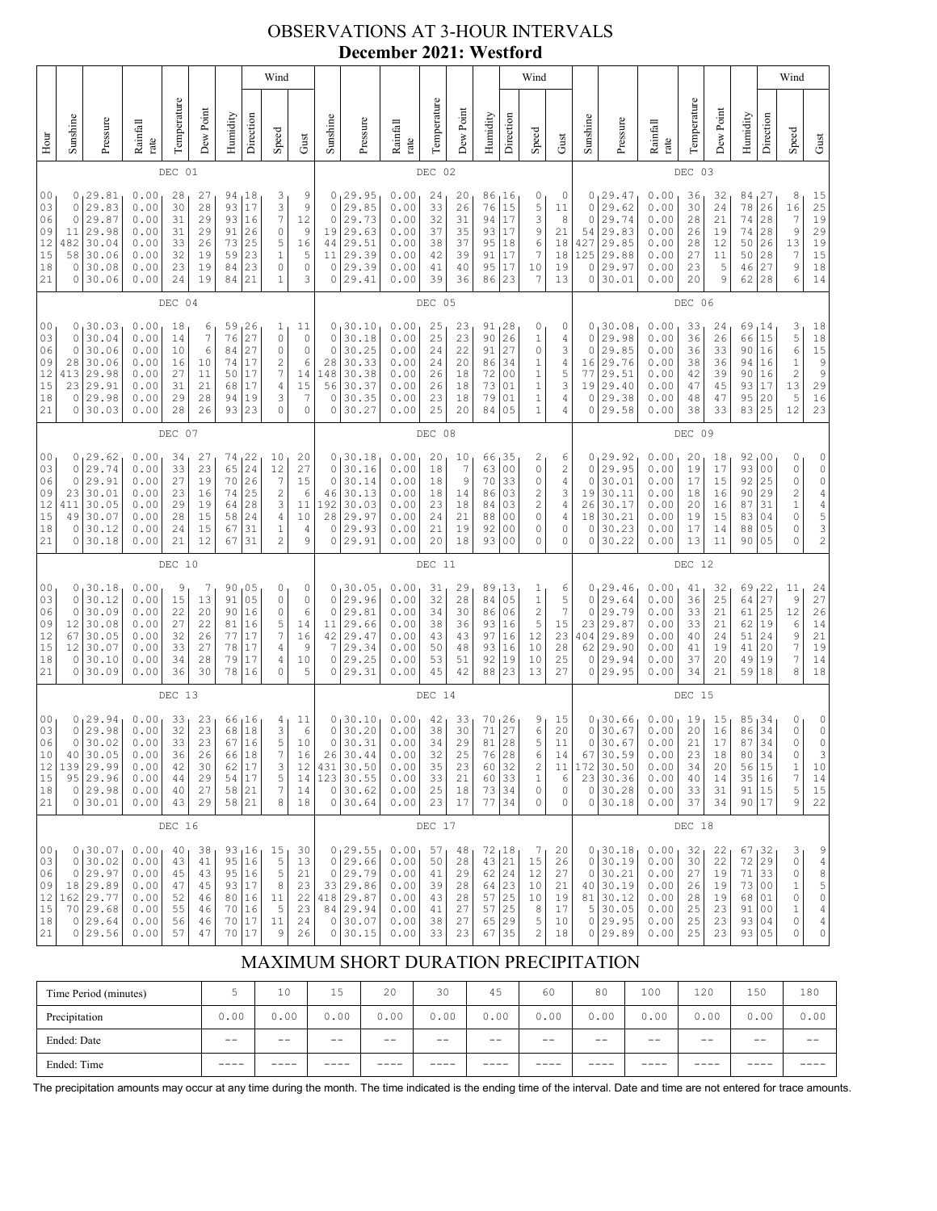# OBSERVATIONS AT 3-HOUR INTERVALS **December 2021: Westford**

|                                                          |                                                                                                                                                                                                                                                                                                                                                                                                                                                                 |                                                                                        |                                                              |                                              |                                                          |                                                  |                                                               | Wind                                                                                                 |                                                        |                                                                      |                                                                                     |                                                              |                                              |                                                           |                                                                                                             |                                                                                    | Wind                                                                  |                                                   |                                                                      |                                                                                              |                                                              |                                              |                                                           |                                                                   |                                                                 | Wind                                                                            |                                                                                        |
|----------------------------------------------------------|-----------------------------------------------------------------------------------------------------------------------------------------------------------------------------------------------------------------------------------------------------------------------------------------------------------------------------------------------------------------------------------------------------------------------------------------------------------------|----------------------------------------------------------------------------------------|--------------------------------------------------------------|----------------------------------------------|----------------------------------------------------------|--------------------------------------------------|---------------------------------------------------------------|------------------------------------------------------------------------------------------------------|--------------------------------------------------------|----------------------------------------------------------------------|-------------------------------------------------------------------------------------|--------------------------------------------------------------|----------------------------------------------|-----------------------------------------------------------|-------------------------------------------------------------------------------------------------------------|------------------------------------------------------------------------------------|-----------------------------------------------------------------------|---------------------------------------------------|----------------------------------------------------------------------|----------------------------------------------------------------------------------------------|--------------------------------------------------------------|----------------------------------------------|-----------------------------------------------------------|-------------------------------------------------------------------|-----------------------------------------------------------------|---------------------------------------------------------------------------------|----------------------------------------------------------------------------------------|
| Hour                                                     | Sunshine                                                                                                                                                                                                                                                                                                                                                                                                                                                        | Pressure                                                                               | Rainfall<br>rate                                             | Temperature                                  | Dew Point                                                | Humidity                                         | Direction                                                     | Speed                                                                                                | Gust                                                   | Sunshine                                                             | Pressure                                                                            | Rainfall<br>rate                                             | Temperature                                  | Dew Point                                                 | Humidity                                                                                                    | Direction                                                                          | Speed                                                                 | Gust                                              | Sunshine                                                             | Pressure                                                                                     | Rainfall<br>$_\mathrm{rate}$                                 | Temperature                                  | Dew Point                                                 | Humidity                                                          | Direction                                                       | Speed                                                                           | ${\rm Gust}$                                                                           |
|                                                          |                                                                                                                                                                                                                                                                                                                                                                                                                                                                 |                                                                                        |                                                              | DEC 01                                       |                                                          |                                                  |                                                               |                                                                                                      |                                                        |                                                                      |                                                                                     |                                                              | DEC 02                                       |                                                           |                                                                                                             |                                                                                    |                                                                       |                                                   |                                                                      |                                                                                              |                                                              | DEC 03                                       |                                                           |                                                                   |                                                                 |                                                                                 |                                                                                        |
| 0 <sub>0</sub><br>03<br>06<br>09<br>12<br>15<br>18<br>21 | 3<br>0<br>29.81<br>0.00<br>28<br>27<br>94<br>18<br>17<br>3<br>0<br>29.83<br>0.00<br>30<br>28<br>93<br>$\boldsymbol{7}$<br>$\mathbf 0$<br>29.87<br>0.00<br>16<br>31<br>29<br>93<br>29.98<br>11<br>0.00<br>31<br>29<br>91<br>26<br>0<br>30.04<br>73<br>5<br>482<br>0.00<br>33<br>26<br>25<br>58<br>30.06<br>23<br>$1\,$<br>0.00<br>32<br>19<br>59<br>$\circ$<br>0<br>30.08<br>0.00<br>23<br>19<br>84<br>23<br>30.06<br>19<br>21<br>$1\,$<br>0<br>0.00<br>24<br>84 |                                                                                        |                                                              |                                              |                                                          |                                                  |                                                               | 9<br>$\mathsf 9$<br>12<br>9<br>16<br>5<br>$\circ$<br>3                                               | 0<br>$\circ$<br>$\circ$<br>19<br>44<br>11<br>0<br>0    | 29.95<br>29.85<br>29.73<br>29.63<br>29.51<br>29.39<br>29.39<br>29.41 | 0.00<br>0.00<br>0.00<br>0.00<br>0.00<br>0.00<br>0.00<br>0.00                        | 24<br>33<br>32<br>37<br>38<br>42<br>41<br>39                 | 20<br>26<br>31<br>35<br>37<br>39<br>40<br>36 | 86<br>76<br>94<br>93<br>95<br>91<br>95<br>86              | 16<br>15<br>17<br>17<br>18<br>17<br>17<br>23                                                                | 0<br>5<br>3<br>9<br>6<br>7<br>10<br>7                                              | 0<br>11<br>8<br>21<br>18<br>18<br>19<br>13                            | 0<br>0<br>0<br>54<br>427<br>125<br>0<br>0         | 29.47<br>29.62<br>29.74<br>29.83<br>29.85<br>29.88<br>29.97<br>30.01 | 0.00<br>0.00<br>0.00<br>0.00<br>0.00<br>0.00<br>0.00<br>0.00                                 | 36<br>30<br>28<br>26<br>28<br>27<br>23<br>20                 | 32<br>24<br>21<br>19<br>12<br>11<br>5<br>9   | 84 <sub>1</sub><br>78<br>74<br>74<br>50<br>50<br>46<br>62 | 27<br> 26<br>28<br>28<br>26<br>28<br>27<br>28                     | 8<br>16<br>$\boldsymbol{7}$<br>$\mathsf 9$<br>13<br>7<br>9<br>6 | 15<br>25<br>19<br>29<br>$\begin{array}{c} 19 \\ 15 \end{array}$<br>$18\,$<br>14 |                                                                                        |
|                                                          |                                                                                                                                                                                                                                                                                                                                                                                                                                                                 |                                                                                        |                                                              | DEC 04                                       |                                                          |                                                  |                                                               |                                                                                                      |                                                        |                                                                      |                                                                                     |                                                              | DEC 05                                       |                                                           |                                                                                                             |                                                                                    |                                                                       |                                                   |                                                                      |                                                                                              |                                                              | DEC 06                                       |                                                           |                                                                   |                                                                 |                                                                                 |                                                                                        |
| 00<br>03<br>06<br>09<br>12<br>15<br>18<br>21             | $\circ$<br>0<br>28<br>413<br>23<br>0<br>0                                                                                                                                                                                                                                                                                                                                                                                                                       | 0, 30.03<br>30.04<br>30.06<br>30.06<br>29.98<br>29.91<br>29.98<br>30.03                | 0.00<br>0.00<br>0.00<br>0.00<br>0.00<br>0.00<br>0.00<br>0.00 | 18<br>14<br>10<br>16<br>27<br>31<br>29<br>28 | 6<br>$\boldsymbol{7}$<br>6<br>10<br>11<br>21<br>28<br>26 | 59<br>76<br>84<br>74<br>50<br>68<br>94<br>93     | 26<br>27<br>27<br>17<br>17<br>17<br>19<br>23                  | $\mathbf{1}$<br>$\mathbb O$<br>0<br>$\sqrt{2}$<br>$\boldsymbol{7}$<br>$\sqrt{4}$<br>3<br>$\mathbf 0$ | 11<br>0<br>$\circ$<br>6<br>14<br>15<br>7<br>$\circ$    | 0<br>$\circ$<br>0<br>28<br>148<br>56<br>0<br>0                       | 30.10<br>30.18<br>30.25<br>30.33<br>30.38<br>30.37<br>30.35<br>30.27                | 0.00<br>0.00<br>0.00<br>0.00<br>0.00<br>0.00<br>0.00<br>0.00 | 25<br>25<br>24<br>24<br>26<br>26<br>23<br>25 | 23<br>23<br>22<br>20<br>18<br>18<br>18<br>20              | 91<br>90<br>91<br>86<br>72<br>73<br>79<br>84                                                                | 128<br>26<br>27<br>34<br>0 <sub>0</sub><br>01<br>01<br>05                          | 0<br>1<br>0<br>1<br>$\mathbf 1$<br>$\mathbbm{1}$<br>1<br>$\mathbf{1}$ | 0<br>4<br>3<br>4<br>5<br>3<br>4<br>4              | 0<br>0<br>16<br>77<br>19<br>0<br>0                                   | 0, 30.08<br>29.98<br>29.85<br>29.76<br>29.51<br>29.40<br>29.38<br>29.58                      | 0.00<br>0.00<br>0.00<br>0.00<br>0.00<br>0.00<br>0.00<br>0.00 | 33<br>36<br>36<br>38<br>42<br>47<br>48<br>38 | 24<br>26<br>33<br>36<br>39<br>45<br>47<br>33              | 69,14<br>66<br>90 16<br>94  <br>90<br>93<br>95<br>83 25           | 15<br>16<br>16<br>$17\,$<br>20                                  | 3<br>5<br>$\epsilon$<br>$\mathbf 1$<br>$\overline{\mathbf{c}}$<br>13<br>5<br>12 | 18<br>$18$<br>15<br>$\begin{array}{c} 9 \\ 9 \end{array}$<br>29<br>16<br>23            |
|                                                          | DEC 07                                                                                                                                                                                                                                                                                                                                                                                                                                                          |                                                                                        |                                                              |                                              |                                                          |                                                  |                                                               |                                                                                                      |                                                        |                                                                      | DEC 08                                                                              |                                                              |                                              |                                                           |                                                                                                             |                                                                                    |                                                                       |                                                   |                                                                      | DEC 09                                                                                       |                                                              |                                              |                                                           |                                                                   |                                                                 |                                                                                 |                                                                                        |
| 00<br>03<br>06<br>09<br>12<br>15<br>18<br>21             | 0<br>0<br>23<br>411<br>49<br>0<br>0                                                                                                                                                                                                                                                                                                                                                                                                                             | 0, 29.62<br>29.74<br>29.91<br>30.01<br>30.05<br>30.07<br>30.12<br>30.18                | 0.00<br>0.00<br>0.00<br>0.00<br>0.00<br>0.00<br>0.00<br>0.00 | 34<br>33<br>27<br>23<br>29<br>28<br>24<br>21 | 27<br>23<br>19<br>16<br>19<br>15<br>15<br>12             | 74, 22<br>65<br>70<br>74<br>64<br>58<br>67<br>67 | 24<br>26<br>25<br>28<br>24<br>31<br>31                        | 10<br>12<br>$\overline{7}$<br>$\mathbf{2}$<br>3<br>4<br>$1\,$<br>$\overline{c}$                      | 20<br>27<br>15<br>6<br>11<br>10<br>$\overline{4}$<br>9 | 0<br>$\circ$<br>0<br>46<br>192<br>28<br>0<br>0                       | 30.18<br>30.16<br>30.14<br>30.13<br>30.03<br>29.97<br>29.93<br>29.91                | 0.00<br>0.00<br>0.00<br>0.00<br>0.00<br>0.00<br>0.00<br>0.00 | 20<br>18<br>18<br>18<br>23<br>24<br>21<br>20 | 10<br>$\boldsymbol{7}$<br>9<br>14<br>18<br>21<br>19<br>18 | 66<br>63<br>70<br>86<br>84<br>88<br>92<br>93                                                                | 35 ر<br>0 <sub>0</sub><br>33<br>03<br>03<br>00<br>0 <sub>0</sub><br>0 <sup>0</sup> | 2<br>$\mathbb O$<br>0<br>2<br>2<br>0<br>0<br>0                        | 6<br>$\overline{c}$<br>4<br>3<br>4<br>4<br>0<br>0 | 0<br>0<br>19<br>26<br>18<br>0<br>0                                   | 0, 29.92<br>29.95<br>30.01<br>30.11<br>30.17<br>30.21<br>30.23<br>30.22                      | 0.00<br>0.00<br>0.00<br>0.00<br>0.00<br>0.00<br>0.00<br>0.00 | 20<br>19<br>17<br>18<br>20<br>19<br>17<br>13 | 18<br>17<br>15<br>16<br>16<br>15<br>14<br>11              | 92,00<br>93 00<br>92<br>90<br>87<br>83<br>88<br>90                | 25<br>29<br>31<br>04<br>05<br>05                                | 0<br>0<br>0<br>$\overline{c}$<br>$\mathbf 1$<br>$\circ$<br>0<br>$\Omega$        | 0<br>$\circ$<br>0<br>$\begin{array}{c} 4 \\ 4 \\ 5 \\ 3 \end{array}$<br>$\overline{c}$ |
|                                                          |                                                                                                                                                                                                                                                                                                                                                                                                                                                                 |                                                                                        |                                                              | DEC 10                                       |                                                          |                                                  |                                                               |                                                                                                      |                                                        |                                                                      |                                                                                     |                                                              | DEC 11                                       |                                                           |                                                                                                             |                                                                                    |                                                                       |                                                   |                                                                      |                                                                                              |                                                              | DEC 12                                       |                                                           |                                                                   |                                                                 |                                                                                 |                                                                                        |
| 00<br>03<br>06<br>09<br>12<br>15<br>18<br>21             | 0<br>0<br>0<br>12<br>67<br>12<br>$\circ$<br>0                                                                                                                                                                                                                                                                                                                                                                                                                   | 30.18<br>30.12<br>30.09<br>30.08<br>30.05<br>30.07<br>30.10<br>30.09                   | 0.00<br>0.00<br>0.00<br>0.00<br>0.00<br>0.00<br>0.00<br>0.00 | 9<br>15<br>22<br>27<br>32<br>33<br>34<br>36  | 7<br>13<br>20<br>22<br>26<br>27<br>28<br>30              | 90<br>91<br>90<br>81<br>77<br>78<br>79<br>78     | 05<br>05<br>16<br>16<br>17<br>17<br>17<br>16                  | 0<br>0<br>$\mathbb O$<br>5<br>$\boldsymbol{7}$<br>4<br>4<br>0                                        | 0<br>0<br>6<br>14<br>16<br>9<br>10<br>5                | 0<br>0<br>$\circ$<br>11<br>42<br>7<br>0<br>0                         | 30.05<br>29.96<br>29.81<br>29.66<br>29.47<br>29.34<br>29.25<br>29.31                | 0.00<br>0.00<br>0.00<br>0.00<br>0.00<br>0.00<br>0.00<br>0.00 | 31<br>32<br>34<br>38<br>43<br>50<br>53<br>45 | 29<br>28<br>30<br>36<br>43<br>48<br>51<br>42              | 89<br>84<br>86<br>93<br>97<br>93<br>92<br>88                                                                | 13 ا<br>05<br>06<br>16<br>16<br>16<br>19<br>23                                     | T<br>$\mathbf{1}$<br>$\overline{c}$<br>5<br>12<br>10<br>10<br>13      | 6<br>5<br>7<br>15<br>23<br>28<br>25<br>27         | 0 <sub>1</sub><br>0<br>0<br>23<br>404<br>62<br>0<br>0                | 29.46<br>29.64<br>29.79<br>29.87<br>29.89<br>29.90<br>29.94<br>29.95                         | 0.00<br>0.00<br>0.00<br>0.00<br>0.00<br>0.00<br>0.00<br>0.00 | 41<br>36<br>33<br>33<br>40<br>41<br>37<br>34 | 32<br>25<br>21<br>21<br>24<br>19<br>20<br>21              | 69<br>64<br>$61$   25<br>62<br>51<br>41<br>49<br>59 18            | 22<br>27<br>19<br>24<br>20<br>19                                | 11<br>9<br>12<br>6<br>9<br>7<br>7<br>8                                          | 24<br>27<br>26<br>14<br>21<br>19<br>14<br>18                                           |
|                                                          | DEC 13                                                                                                                                                                                                                                                                                                                                                                                                                                                          |                                                                                        |                                                              |                                              |                                                          |                                                  |                                                               |                                                                                                      |                                                        | DEC 14                                                               |                                                                                     |                                                              |                                              |                                                           |                                                                                                             |                                                                                    |                                                                       |                                                   | DEC 15                                                               |                                                                                              |                                                              |                                              |                                                           |                                                                   |                                                                 |                                                                                 |                                                                                        |
| 0 <sub>0</sub><br>03<br>06<br>10<br>12<br>15<br>18<br>21 | $\mathsf{O}\xspace$<br>0<br>40                                                                                                                                                                                                                                                                                                                                                                                                                                  | 0, 29.94<br>29.98<br>30.02<br>30.05<br>139 29.99<br>95 29.96<br>0 29.98<br>0 30.01     | 0.00<br>0.00<br>0.00<br>0.00<br>0.00<br>0.00<br>0.00<br>0.00 | 33<br>32<br>33<br>36<br>42<br>44<br>40<br>43 | 23<br>23<br>23<br>26<br>30<br>29<br>27<br>29             | 68<br>67<br>66<br>62<br>54<br>58                 | 66, 16<br>$1\,8$<br>16<br>18<br>$17$<br>$1\,7$<br>58 21<br>21 | 4<br>$\ensuremath{\mathsf{3}}$<br>5<br>7<br>3<br>$\mathsf S$<br>$\boldsymbol{7}$<br>8                | 11<br>$\epsilon$<br>10<br>16<br>12<br>14<br>14<br>18   | 0<br>$\mathbb O$<br>$\circ$<br>26<br>431<br>0<br>0                   | 30.10<br>30.20<br>30.31<br>30.44<br>30.50<br>123 30.55<br>30.62<br>30.64            | 0.00<br>0.00<br>0.00<br>0.00<br>0.00<br>0.00<br>0.00<br>0.00 | 42<br>38<br>34<br>32<br>35<br>33<br>25<br>23 | 33<br>30<br>29<br>25<br>23<br>21<br>18<br>17              | 70<br>71<br>81<br>76<br>60<br>60<br>73 34<br>77                                                             | 26  <br>27<br>28<br>28<br>32<br>33<br>34                                           | 9<br>6<br>5<br>6<br>2<br>$\mathbf 1$<br>$\mathbb O$<br>0              | 15<br>20<br>11<br>14<br>11<br>6<br>0<br>0         | 0<br>$\circ$<br>67                                                   | 30.66<br>30.67<br>0 30.<br>.67<br>30.59<br>172 30.50<br>23 30.36<br>0 30.28<br>0 30.18       | 0.00<br>0.00<br>0.00<br>0.00<br>0.00<br>0.00<br>0.00<br>0.00 | 19<br>20<br>21<br>23<br>34<br>40<br>33<br>37 | 15<br>16<br>17<br>18<br>$20$<br>14<br>31<br>34            | 85,34<br>86 34<br>87<br>80 34<br>56 15<br>35 16<br>91 15<br>90 17 | 34                                                              | 0<br>$\mathsf O$<br>0<br>0<br>$\mathbf{1}$<br>7<br>5<br>9                       | 0<br>$\circ$<br>0<br>3<br>10<br>14<br>15<br>22                                         |
|                                                          |                                                                                                                                                                                                                                                                                                                                                                                                                                                                 |                                                                                        |                                                              | DEC 16                                       |                                                          |                                                  |                                                               |                                                                                                      |                                                        |                                                                      |                                                                                     |                                                              | DEC 17                                       |                                                           |                                                                                                             |                                                                                    |                                                                       |                                                   |                                                                      |                                                                                              |                                                              | DEC 18                                       |                                                           |                                                                   |                                                                 |                                                                                 |                                                                                        |
| 00<br>03<br>06<br>09<br>12<br>15<br>18<br>21             | $\circ$<br>$\circ$                                                                                                                                                                                                                                                                                                                                                                                                                                              | 0, 30, 07<br>30.02<br>29.97<br>18 29.89<br>162 29.77<br>70 29.68<br>0 29.64<br>0 29.56 | 0.00<br>0.00<br>0.00<br>0.00<br>0.00<br>0.00<br>0.00<br>0.00 | 40<br>43<br>45<br>47<br>52<br>55<br>56<br>57 | 38<br>41<br>43<br>45<br>46<br>46<br>46<br>47             | 95<br>93<br>80<br>70<br>70<br>70 17              | 93,16<br>16<br>95 16<br>$17$<br>16<br>16<br>17                | 15<br>5<br>5<br>8<br>11<br>$\mathsf S$<br>11<br>9                                                    | 30<br>13<br>21<br>23<br>22<br>23<br>24<br>26           | 0<br>0<br>$\circ$                                                    | 0, 29.55<br>29.66<br>29.79<br>33 29.86<br>418 29.87<br>84 29.94<br>0 30.07<br>30.15 | 0.00<br>0.00<br>0.00<br>0.00<br>0.00<br>0.00<br>0.00<br>0.00 | 57<br>50<br>41<br>39<br>43<br>41<br>38<br>33 | 48<br>28<br>29<br>28<br>28<br>27<br>27<br>23              | $\begin{array}{c} 72 \\ 43 \overline{\smash{\big)}\ 21} \end{array}$<br>62<br>64<br>57<br>57<br>65 29<br>67 | 24<br> 23<br>25<br> 25<br>35                                                       | 7<br>15<br>12<br>10<br>10<br>8<br>5<br>2                              | 20<br>26<br>27<br>21<br>19<br>17<br>10<br>18      | $\circ$<br>$\circ$                                                   | 0, 30.18<br>30.19<br>30.21<br>40 30.19<br>81 30.12<br>$5 \mid 30.05$<br>$0$ 29.95<br>0 29.89 | 0.00<br>0.00<br>0.00<br>0.00<br>0.00<br>0.00<br>0.00<br>0.00 | 32<br>30<br>27<br>26<br>28<br>25<br>25<br>25 | 22<br>22<br>19<br>19<br>19<br>23<br>23<br>23              | 67,32<br>72 29<br>71<br>73 00<br>68 01<br>91 00<br>93 04<br>93 05 | 33                                                              | 3<br>0<br>0<br>$\mathbf{1}$<br>0<br>$\mathbf 1$<br>0<br>0                       | 9<br>4<br>8<br>5<br>$\mathbb O$<br>$\overline{4}$<br>4<br>0                            |

# MAXIMUM SHORT DURATION PRECIPITATION

| Time Period (minutes) |       | 10    | 15    | 20    | 30    | 45   | 60    | 80    | 100   | 120   | 150  | 180   |
|-----------------------|-------|-------|-------|-------|-------|------|-------|-------|-------|-------|------|-------|
| Precipitation         | 0.00  | 0.00  | 0.00  | 0.00  | 0.00  | 0.00 | 0.00  | 0.00  | 0.00  | 0.00  | 0.00 | 0.00  |
| Ended: Date           | $- -$ | $- -$ | $- -$ | $- -$ | $- -$ | $ -$ | $- -$ | $- -$ | $- -$ | $- -$ | $ -$ | $- -$ |
| Ended: Time           | ____  |       |       |       | ----  |      |       |       |       |       |      |       |

The precipitation amounts may occur at any time during the month. The time indicated is the ending time of the interval. Date and time are not entered for trace amounts.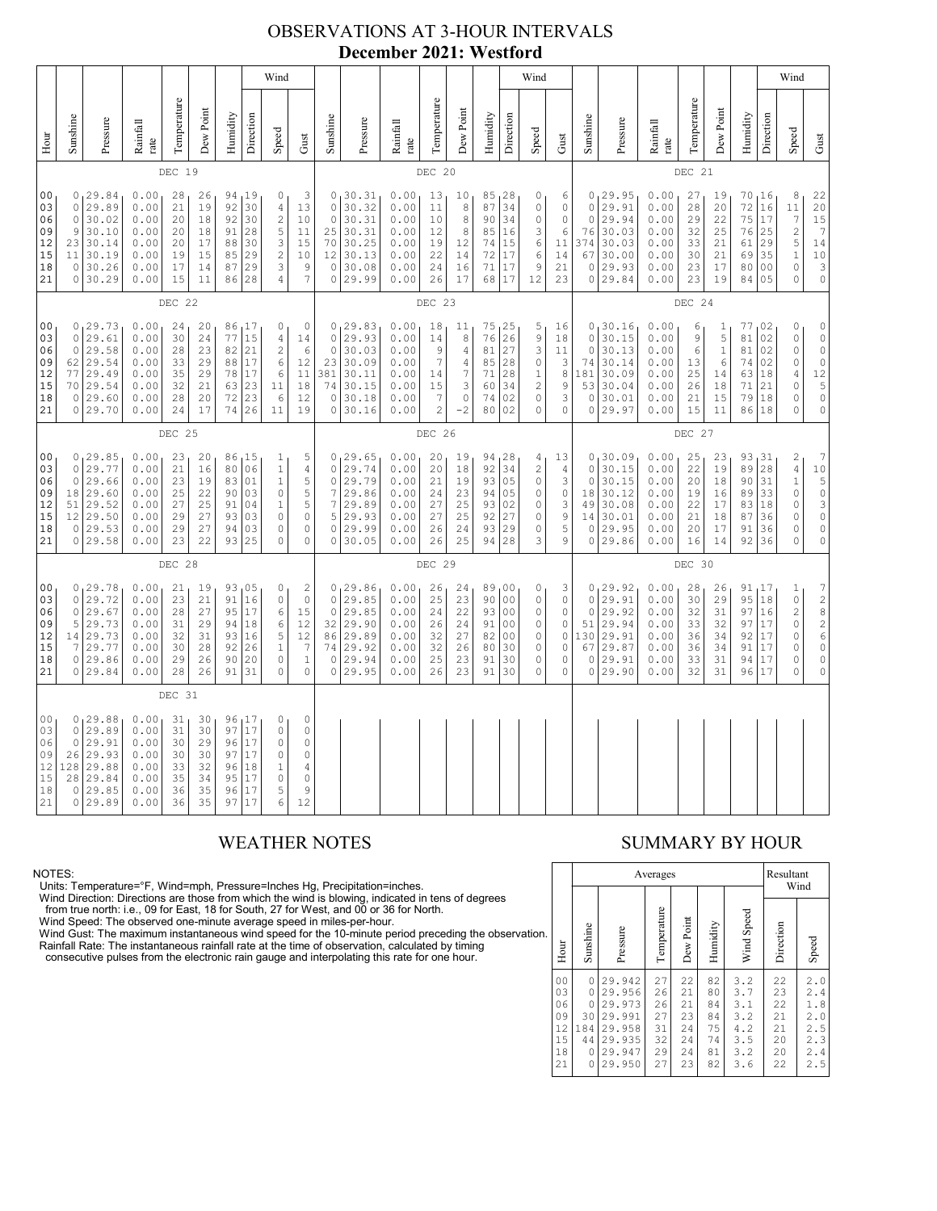### OBSERVATIONS AT 3-HOUR INTERVALS **December 2021: Westford**

|                                                          |                                                                                                                                                                                                                                                                                                                                                                                                                                                                                                                                      |                                                                                |                                                              |                                              |                                                |                                        |                                                  |                                                                                                     |                                                                                     |                                                                         |                                                                            |                                                              |                                                                             |                                                                                     |                                                  |                                                    | Wind                                                                                  |                                                                                                  |                                                                         |                                                                         |                                                              |                                              |                                                     |                                                    |                                                                                          | Wind                                                                                                                  |                                                                                                               |
|----------------------------------------------------------|--------------------------------------------------------------------------------------------------------------------------------------------------------------------------------------------------------------------------------------------------------------------------------------------------------------------------------------------------------------------------------------------------------------------------------------------------------------------------------------------------------------------------------------|--------------------------------------------------------------------------------|--------------------------------------------------------------|----------------------------------------------|------------------------------------------------|----------------------------------------|--------------------------------------------------|-----------------------------------------------------------------------------------------------------|-------------------------------------------------------------------------------------|-------------------------------------------------------------------------|----------------------------------------------------------------------------|--------------------------------------------------------------|-----------------------------------------------------------------------------|-------------------------------------------------------------------------------------|--------------------------------------------------|----------------------------------------------------|---------------------------------------------------------------------------------------|--------------------------------------------------------------------------------------------------|-------------------------------------------------------------------------|-------------------------------------------------------------------------|--------------------------------------------------------------|----------------------------------------------|-----------------------------------------------------|----------------------------------------------------|------------------------------------------------------------------------------------------|-----------------------------------------------------------------------------------------------------------------------|---------------------------------------------------------------------------------------------------------------|
| Hour                                                     | Sunshine                                                                                                                                                                                                                                                                                                                                                                                                                                                                                                                             | Pressure                                                                       | Rainfall<br>rate                                             | Temperature                                  | Dew Point                                      | Humidity                               | Direction                                        | Speed                                                                                               | Gust                                                                                | Sunshine                                                                | Pressure                                                                   | Rainfall<br>rate                                             | Temperature                                                                 | Dew Point                                                                           | Humidity                                         | Direction                                          | Speed                                                                                 | Gust                                                                                             | Sunshine                                                                | Pressure                                                                | Rainfall<br>rate                                             | Temperature                                  | Dew Point                                           | Humidity                                           | Direction                                                                                | Speed                                                                                                                 | Gust                                                                                                          |
|                                                          |                                                                                                                                                                                                                                                                                                                                                                                                                                                                                                                                      |                                                                                |                                                              | DEC 19                                       |                                                |                                        |                                                  |                                                                                                     |                                                                                     |                                                                         |                                                                            |                                                              | DEC 20                                                                      |                                                                                     |                                                  |                                                    |                                                                                       |                                                                                                  |                                                                         |                                                                         |                                                              | DEC 21                                       |                                                     |                                                    |                                                                                          |                                                                                                                       |                                                                                                               |
| 0 <sub>0</sub><br>03<br>06<br>09<br>12<br>15<br>18<br>21 | 0, 29.84<br>0.00<br>3<br>28<br>26<br>94 19<br>0<br>29.89<br>92<br>30<br>0<br>0.00<br>21<br>19<br>$\overline{4}$<br>$\sqrt{2}$<br>30.02<br>0.00<br>$\circ$<br>20<br>18<br>92<br>30<br>10<br>$\mathsf S$<br>0.00<br>9<br>30.10<br>20<br>91<br>28<br>11<br>18<br>3<br>23<br>30.14<br>0.00<br>20<br>17<br>88<br>30<br>15<br>$\sqrt{2}$<br>29<br>30.19<br>0.00<br>15<br>85<br>10<br>11<br>19<br>29<br>3<br>$\circ$<br>30.26<br>0.00<br>9<br>17<br>14<br>87<br>11<br>28<br>$\overline{4}$<br>$\overline{7}$<br>0 30.29<br>0.00<br>15<br>86 |                                                                                |                                                              |                                              |                                                |                                        |                                                  | 13                                                                                                  | $\mathbb O$<br>$\mathbb O$<br>25<br>70<br>12<br>$\circ$<br>$\mathsf{O}\xspace$      | 0, 30.31<br>30.32<br>30.31<br>30.31<br>30.25<br>30.13<br>30.08<br>29.99 | 0.00<br>0.00<br>0.00<br>0.00<br>0.00<br>0.00<br>0.00<br>0.00               | 13<br>11<br>10<br>12<br>19<br>22<br>24<br>26                 | 10<br>$\,$ 8 $\,$<br>$\,$ 8 $\,$<br>8<br>12<br>14<br>16<br>17               | 85, 28<br>87<br>90<br>85<br>74<br>72<br>71<br>68                                    | 34<br>34<br>16<br>15<br>17<br>17<br>17           | 0<br>0<br>0<br>3<br>$\epsilon$<br>6<br>9<br>12     | 6<br>0<br>$\mathbb O$<br>$\epsilon$<br>11<br>14<br>21<br>23                           | $\circ$<br>$\circ$<br>76<br>374<br>67<br>$\circ$<br>$\circ$                                      | 0, 29.95<br>29.91<br>29.94<br>30.03<br>30.03<br>30.00<br>29.93<br>29.84 | 0.00<br>0.00<br>0.00<br>0.00<br>0.00<br>0.00<br>0.00<br>0.00            | 27<br>28<br>29<br>32<br>33<br>30<br>23<br>23                 | 19<br>20<br>22<br>25<br>21<br>21<br>17<br>19 | 70, 16<br>72<br>75<br>76<br>61<br>69<br>80<br>84    | 16<br>17<br>25<br>29<br>35<br>0 <sub>0</sub><br>05 | 8<br>11<br>$\overline{7}$<br>$\overline{\mathbf{c}}$<br>5<br>$1\,$<br>$\circ$<br>$\circ$ | 22<br>20<br>$\begin{array}{c} 15 \\ 15 \\ 7 \end{array}$<br>14<br>10<br>$\mathsf{3}$<br>$\mathbb O$                   |                                                                                                               |
|                                                          | DEC 22                                                                                                                                                                                                                                                                                                                                                                                                                                                                                                                               |                                                                                |                                                              |                                              |                                                |                                        |                                                  |                                                                                                     |                                                                                     | DEC 23                                                                  |                                                                            |                                                              |                                                                             |                                                                                     |                                                  |                                                    |                                                                                       |                                                                                                  | DEC 24                                                                  |                                                                         |                                                              |                                              |                                                     |                                                    |                                                                                          |                                                                                                                       |                                                                                                               |
| 00<br>03<br>06<br>09<br>12<br>15<br>18<br>21             | $\circ$<br>$\circ$<br>62<br>77<br>0                                                                                                                                                                                                                                                                                                                                                                                                                                                                                                  | 0, 29.73<br>29.61<br>29.58<br>29.54<br>29.49<br>70 29.54<br>29.60<br>0 29.70   | 0.00<br>0.00<br>0.00<br>0.00<br>0.00<br>0.00<br>0.00<br>0.00 | 24<br>30<br>28<br>33<br>35<br>32<br>28<br>24 | 20<br>24<br>23<br>29<br>29<br>21<br>$20$<br>17 | 77<br>82<br>88<br>78<br>63<br>72<br>74 | 86,17<br>15<br>21<br>17<br>17<br>23<br>23<br>26  | 0<br>4<br>$\sqrt{2}$<br>6<br>6<br>11<br>6<br>11                                                     | $\mathbb O$<br>14<br>6<br>12<br>11<br>18<br>12<br>19                                | $\mathbf 0$<br>$\mathbb O$<br>23<br>381<br>74<br>0<br>$\circ$           | 0, 29.83<br>29.93<br>30.03<br>30.09<br>30.11<br>30.15<br>30.18<br>30.16    | 0.00<br>0.00<br>0.00<br>0.00<br>0.00<br>0.00<br>0.00<br>0.00 | 18<br>14<br>9<br>$\overline{7}$<br>14<br>15<br>$\sqrt{ }$<br>$\overline{c}$ | 11<br>8<br>$\sqrt{4}$<br>$\overline{4}$<br>$\boldsymbol{7}$<br>3<br>$\circ$<br>$-2$ | 75, 25<br>76<br>81<br>85<br>71<br>60<br>74<br>80 | 26<br>27<br>28<br>28<br>34<br>02<br>02             | 5<br>$\mathsf 9$<br>3<br>$\mathbb O$<br>$\mathbf 1$<br>$\sqrt{2}$<br>$\mathbb O$<br>0 | 16<br>18<br>11<br>3<br>$\,8\,$<br>$\mathsf 9$<br>3<br>$\circ$                                    | $\circ$<br>$\circ$<br>74<br>181<br>53<br>0<br>0                         | 0, 30.16<br>30.15<br>30.13<br>30.14<br>30.09<br>30.04<br>30.01<br>29.97 | 0.00<br>0.00<br>0.00<br>0.00<br>0.00<br>0.00<br>0.00<br>0.00 | 6<br>9<br>6<br>13<br>25<br>26<br>21<br>15    | 1<br>5<br>$\mathbf{1}$<br>6<br>14<br>18<br>15<br>11 | 77<br>81<br>81<br>74<br>63<br>71<br>79<br>86       | 02 ر<br>02<br>02<br>02<br>18<br>21<br>18<br>18                                           | $\mathbb O$<br>$\circ$<br>$\circ$<br>$\mathbb O$<br>$\overline{4}$<br>$\circ$<br>$\circ$<br>$\circ$                   | $\mathbb O$<br>$\circ$<br>$\mathbb O$<br>$\circ$<br>12<br>5<br>$\rm _0$<br>$\circ$                            |
|                                                          |                                                                                                                                                                                                                                                                                                                                                                                                                                                                                                                                      |                                                                                |                                                              | DEC 25                                       |                                                |                                        |                                                  |                                                                                                     |                                                                                     |                                                                         |                                                                            | DEC 26<br>DEC 27                                             |                                                                             |                                                                                     |                                                  |                                                    |                                                                                       |                                                                                                  |                                                                         |                                                                         |                                                              |                                              |                                                     |                                                    |                                                                                          |                                                                                                                       |                                                                                                               |
| 00<br>03<br>06<br>09<br>12<br>15<br>18<br>21             | $\circ$<br>0<br>51<br>$12 \overline{ }$<br>0                                                                                                                                                                                                                                                                                                                                                                                                                                                                                         | 0, 29.85<br>29.77<br>29.66<br>18 29.60<br>29.52<br>29.50<br> 29.53<br>0 29.58  | 0.00<br>0.00<br>0.00<br>0.00<br>0.00<br>0.00<br>0.00<br>0.00 | 23<br>21<br>23<br>25<br>27<br>29<br>29<br>23 | 20<br>16<br>19<br>22<br>25<br>27<br>27<br>22   | 80<br>83<br>90<br>91<br>93<br>94<br>93 | 86, 15<br>06<br>01<br>03<br>04<br>03<br>03<br>25 | $\mathbf{1}$<br>$\,1$<br>$\,1$<br>$\mathbb O$<br>$\mathbf{1}$<br>$\circ$<br>$\mathbb O$<br>$\Omega$ | 5<br>$\overline{4}$<br>5<br>5<br>5<br>$\mathbb O$<br>$\circ$<br>$\circ$             | $\circ$<br>$\circ$<br>7<br>7<br>5<br>$\mathbb O$<br>$\circ$             | 0, 29.65<br>29.74<br>29.79<br>29.86<br>29.89<br>29.93<br>29.99<br>30.05    | 0.00<br>0.00<br>0.00<br>0.00<br>0.00<br>0.00<br>0.00<br>0.00 | 20<br>20<br>21<br>24<br>27<br>27<br>26<br>26                                | 19<br>18<br>19<br>23<br>25<br>25<br>24<br>25                                        | 94, 28<br>92<br>93<br>94<br>93<br>92<br>93<br>94 | 34<br>05<br>05<br>02<br>27<br>29<br>28             | 4<br>$\sqrt{2}$<br>$\mathbb O$<br>$\circ$<br>0<br>$\circ$<br>0<br>3                   | 13<br>4<br>3<br>$\mathbb O$<br>3<br>9<br>5<br>9                                                  | $\circ$<br>$\circ$<br>18<br>49<br>14<br>$\circ$<br>$\circ$              | 0, 30.09<br>30.15<br>30.15<br>30.12<br>30.08<br>30.01<br>29.95<br>29.86 | 0.00<br>0.00<br>0.00<br>0.00<br>0.00<br>0.00<br>0.00<br>0.00 | 25<br>22<br>20<br>19<br>22<br>21<br>20<br>16 | 23<br>19<br>18<br>16<br>17<br>18<br>17<br>14        | 93<br>89<br>90<br>89<br>83<br>87<br>91<br>92       | 131<br>28<br>31<br>33<br>18<br>36<br>36<br>36                                            | $\overline{\mathbf{c}}$<br>$\sqrt{4}$<br>$1\,$<br>$\circ$<br>$\circ$<br>$\circ$<br>$\mathbb O$<br>$\mathbf 0$         | 7<br>$\begin{bmatrix} 1 & 0 \\ 5 & 0 \\ 3 & 3 \end{bmatrix}$<br>$\circ$<br>$\mathbb O$<br>$\mathsf{O}\xspace$ |
|                                                          |                                                                                                                                                                                                                                                                                                                                                                                                                                                                                                                                      |                                                                                |                                                              | DEC 28                                       |                                                |                                        |                                                  |                                                                                                     |                                                                                     |                                                                         |                                                                            |                                                              | DEC 29                                                                      |                                                                                     |                                                  |                                                    |                                                                                       |                                                                                                  |                                                                         |                                                                         |                                                              | DEC 30                                       |                                                     |                                                    |                                                                                          |                                                                                                                       |                                                                                                               |
| 00<br>03<br>06<br>09<br>12<br>15<br>18<br>21             | $\circ$<br>$\circ$<br>5<br>7                                                                                                                                                                                                                                                                                                                                                                                                                                                                                                         | 0, 29.78<br>29.72<br>29.67<br>29.73<br>14 29.73<br>29.77<br>0 29.86<br>0 29.84 | 0.00<br>0.00<br>0.00<br>0.00<br>0.00<br>0.00<br>0.00<br>0.00 | 21<br>23<br>28<br>31<br>32<br>30<br>29<br>28 | 19<br>21<br>27<br>29<br>31<br>28<br>26<br>26   | 91<br>95<br>94<br>93<br>92<br>90<br>91 | 93,05<br>16<br>17<br>18<br>16<br>26<br>20<br>31  | 0<br>$\mathbb O$<br>6<br>6<br>5<br>$1\,$<br>$\circ$<br>$\Omega$                                     | $\overline{c}$<br>$\circ$<br>15<br>12<br>12<br>$\overline{7}$<br>$\,1\,$<br>$\circ$ | $\circ$<br>$\circ$<br>32<br>74<br>$\circ$<br>$\circ$                    | 0, 29.86<br>29.85<br>29.85<br>29.90<br>86 29.89<br>29.92<br>29.94<br>29.95 | 0.00<br>0.00<br>0.00<br>0.00<br>0.00<br>0.00<br>0.00<br>0.00 | 26<br>25<br>24<br>26<br>32<br>32<br>25<br>26                                | 24<br>23<br>22<br>24<br>27<br>26<br>23<br>23                                        | 89,00<br>90<br>93<br>91<br>82<br>80<br>91<br>91  | 00<br>00<br>00<br>0 <sub>0</sub><br>30<br>30<br>30 | 0<br>0<br>0<br>$\mathbb O$<br>0<br>0<br>0<br>$\circ$                                  | 3<br>$\mathbb O$<br>$\mathbb O$<br>$\mathbb O$<br>0<br>$\mathbb O$<br>$\mathbb O$<br>$\mathbb O$ | $\circ$<br>$\circ$<br>51<br>130<br>67<br>$\circ$<br>0                   | 0, 29.92<br>29.91<br>29.92<br>29.94<br>29.91<br>29.87<br>29.91<br>29.90 | 0.00<br>0.00<br>0.00<br>0.00<br>0.00<br>0.00<br>0.00<br>0.00 | 28<br>30<br>32<br>33<br>36<br>36<br>33<br>32 | 26<br>29<br>31<br>32<br>34<br>34<br>31<br>31        | 91, 17<br>95<br>97<br>97<br>92<br>91<br>94<br>96   | 18<br>16<br>17<br>17<br>17<br>17<br>17                                                   | $\mathbf{1}$<br>$\mathbb O$<br>$\overline{\mathbf{c}}$<br>$\circ$<br>$\mathbb O$<br>$\mathbb O$<br>$\circ$<br>$\circ$ | 72826<br>$\mathsf{O}\xspace$<br>$\mathbb O$<br>$\circ$                                                        |
|                                                          |                                                                                                                                                                                                                                                                                                                                                                                                                                                                                                                                      |                                                                                |                                                              | DEC 31                                       |                                                |                                        |                                                  |                                                                                                     |                                                                                     |                                                                         |                                                                            |                                                              |                                                                             |                                                                                     |                                                  |                                                    |                                                                                       |                                                                                                  |                                                                         |                                                                         |                                                              |                                              |                                                     |                                                    |                                                                                          |                                                                                                                       |                                                                                                               |
| 00<br>03<br>06<br>09<br>12<br>15<br>18<br>21             | $\circ$<br>$\circ$<br>26<br>128<br>28<br>0                                                                                                                                                                                                                                                                                                                                                                                                                                                                                           | 0, 29.88<br>29.89<br>29.91<br>29.93<br>29.88<br>29.84<br>29.85<br>0 29.89      | 0.00<br>0.00<br>0.00<br>0.00<br>0.00<br>0.00<br>0.00<br>0.00 | 31<br>31<br>30<br>30<br>33<br>35<br>36<br>36 | 30<br>30<br>29<br>30<br>32<br>34<br>35<br>35   | 97<br>96<br>97<br>96<br>95<br>96<br>97 | 96 17<br>17<br>17<br>17<br>18<br>17<br>17<br>17  | $\mathbb O$<br>$\mathbb O$<br>$\mathbb O$<br>$\mathbb O$<br>$\,1$<br>$\mathbb O$<br>5<br>6          | $\circ$<br>$\mathbb O$<br>$\circ$<br>$\circ$<br>$\sqrt{4}$<br>$\circ$<br>9<br>12    |                                                                         |                                                                            |                                                              |                                                                             |                                                                                     |                                                  |                                                    |                                                                                       |                                                                                                  |                                                                         |                                                                         |                                                              |                                              |                                                     |                                                    |                                                                                          |                                                                                                                       |                                                                                                               |

NOTES:<br>Units: Temperature=°F, Wind=mph, Pressure=Inches Hg, Precipitation=inches.<br>Units: Temperature=°F, Wind=mph, Pressure=Inches Hg, Precipitation=inches.<br>
Yind Direction: Directions are those from which the wind is blow

### WEATHER NOTES SUMMARY BY HOUR

|    |                                                          |                                                 |                                                                              | Averages                                     |                                              |                                              |                                                      | Resultant<br>Wind                            |                                                      |  |  |  |
|----|----------------------------------------------------------|-------------------------------------------------|------------------------------------------------------------------------------|----------------------------------------------|----------------------------------------------|----------------------------------------------|------------------------------------------------------|----------------------------------------------|------------------------------------------------------|--|--|--|
| ì. | Hour                                                     | Sunshine                                        | Pressure                                                                     | Temperature                                  | Dew Point                                    | Humidity                                     | Wind Speed                                           | Direction                                    | Speed                                                |  |  |  |
|    | 0 <sub>0</sub><br>03<br>06<br>09<br>12<br>15<br>18<br>21 | 0<br>0<br>0<br>30<br>184<br>44<br>0<br>$\Omega$ | 29.942<br>29.956<br>29.973<br>29.991<br>29.958<br>29.935<br>29.947<br>29.950 | 27<br>26<br>26<br>27<br>31<br>32<br>29<br>27 | 22<br>21<br>21<br>23<br>24<br>24<br>24<br>23 | 82<br>80<br>84<br>84<br>75<br>74<br>81<br>82 | 3.2<br>3.7<br>3.1<br>3.2<br>4.2<br>3.5<br>3.2<br>3.6 | 22<br>23<br>22<br>21<br>21<br>20<br>20<br>22 | 2.0<br>2.4<br>1.8<br>2.0<br>2.5<br>2.3<br>2.4<br>2.5 |  |  |  |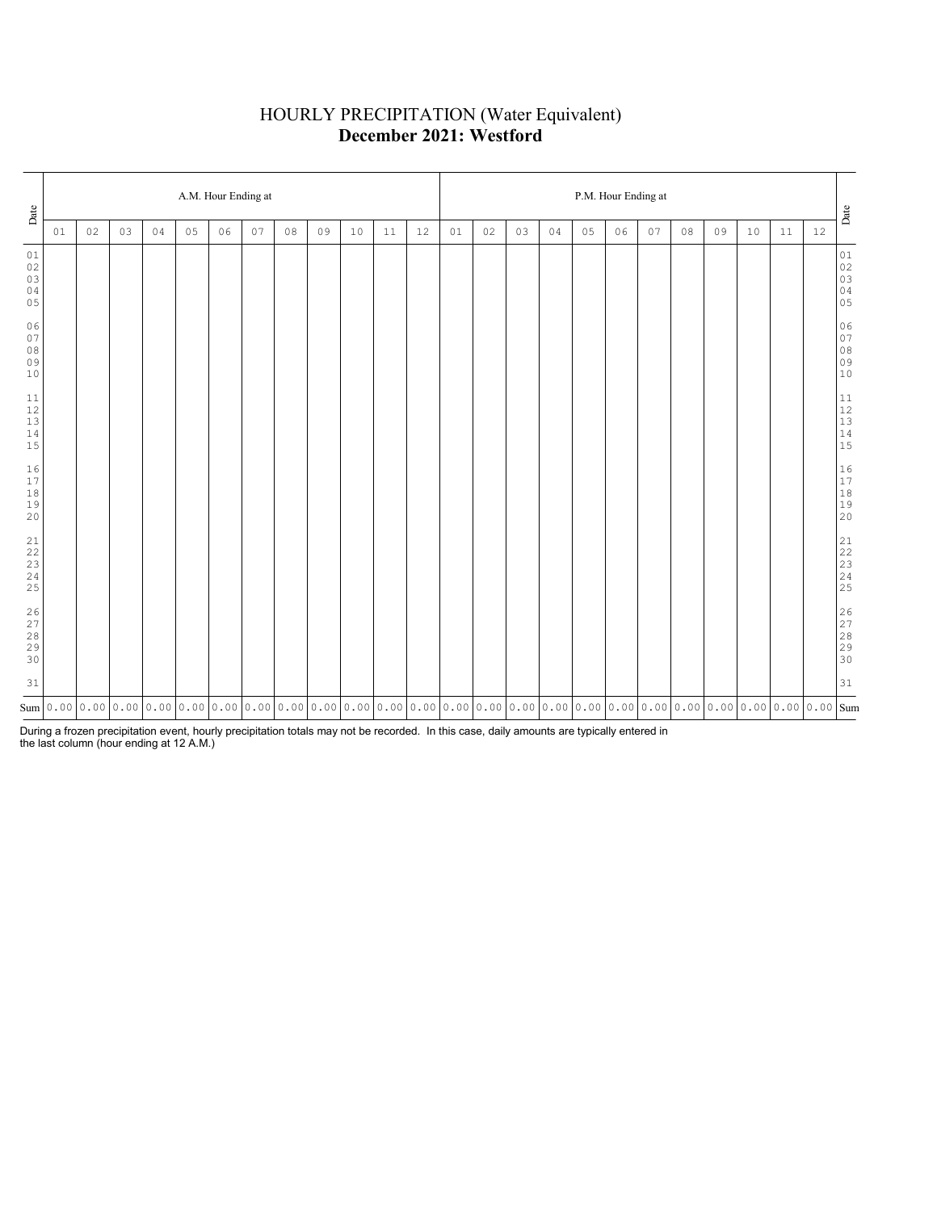# HOURLY PRECIPITATION (Water Equivalent) **December 2021: Westford**

| Date                                    |                                                                                                                                                                                                                                     | A.M. Hour Ending at |    |    |    |    |    |    |    |    |    |    |    |    |    | P.M. Hour Ending at |    |    |    |    |    |    |    |        |                                                           |  |  |  |
|-----------------------------------------|-------------------------------------------------------------------------------------------------------------------------------------------------------------------------------------------------------------------------------------|---------------------|----|----|----|----|----|----|----|----|----|----|----|----|----|---------------------|----|----|----|----|----|----|----|--------|-----------------------------------------------------------|--|--|--|
|                                         | 01                                                                                                                                                                                                                                  | 02                  | 03 | 04 | 05 | 06 | 07 | 08 | 09 | 10 | 11 | 12 | 01 | 02 | 03 | 04                  | 05 | 06 | 07 | 08 | 09 | 10 | 11 | $12\,$ | $_{\rm {Date}}$                                           |  |  |  |
| 01<br>$0\,2$<br>03<br>04<br>05          |                                                                                                                                                                                                                                     |                     |    |    |    |    |    |    |    |    |    |    |    |    |    |                     |    |    |    |    |    |    |    |        | $0\,1$<br>$02$<br>$03$<br>$04$<br>$05$                    |  |  |  |
| 06<br>07<br>$0\,8$<br>09<br>$10$        |                                                                                                                                                                                                                                     |                     |    |    |    |    |    |    |    |    |    |    |    |    |    |                     |    |    |    |    |    |    |    |        | 06<br>07<br>08<br>09<br>09<br>10                          |  |  |  |
| 11<br>$12$<br>$13$<br>$1\,4$<br>15      |                                                                                                                                                                                                                                     |                     |    |    |    |    |    |    |    |    |    |    |    |    |    |                     |    |    |    |    |    |    |    |        | $\begin{array}{c} 11 \\ 12 \\ 13 \\ 14 \\ 15 \end{array}$ |  |  |  |
| 16<br>17<br>$1\,8$<br>19<br>20          |                                                                                                                                                                                                                                     |                     |    |    |    |    |    |    |    |    |    |    |    |    |    |                     |    |    |    |    |    |    |    |        | $\begin{array}{c} 16 \\ 17 \\ 18 \\ 19 \\ 20 \end{array}$ |  |  |  |
| 21<br>22<br>$\frac{23}{24}$<br>25       |                                                                                                                                                                                                                                     |                     |    |    |    |    |    |    |    |    |    |    |    |    |    |                     |    |    |    |    |    |    |    |        |                                                           |  |  |  |
| $\frac{26}{27}$<br>$2\,8$<br>29<br>$30$ |                                                                                                                                                                                                                                     |                     |    |    |    |    |    |    |    |    |    |    |    |    |    |                     |    |    |    |    |    |    |    |        | 26<br>27<br>28<br>29<br>29<br>30                          |  |  |  |
| 31                                      |                                                                                                                                                                                                                                     |                     |    |    |    |    |    |    |    |    |    |    |    |    |    |                     |    |    |    |    |    |    |    |        | 31                                                        |  |  |  |
|                                         | $_{\rm sum}$   0 . 00   0 . 00   0 . 00   0 . 00   0 . 00   0 . 00   0 . 00   0 . 00   0 . 00   0 . 00   0 . 00   0 . 00   0 . 00   0 . 00   0 . 00   0 . 00   0 . 00   0 . 00   0 . 00   0 . 00   0 . 00   0 . 00   0 . 00   0 . 0 |                     |    |    |    |    |    |    |    |    |    |    |    |    |    |                     |    |    |    |    |    |    |    |        |                                                           |  |  |  |

During a frozen precipitation event, hourly precipitation totals may not be recorded. In this case, daily amounts are typically entered in the last column (hour ending at 12 A.M.)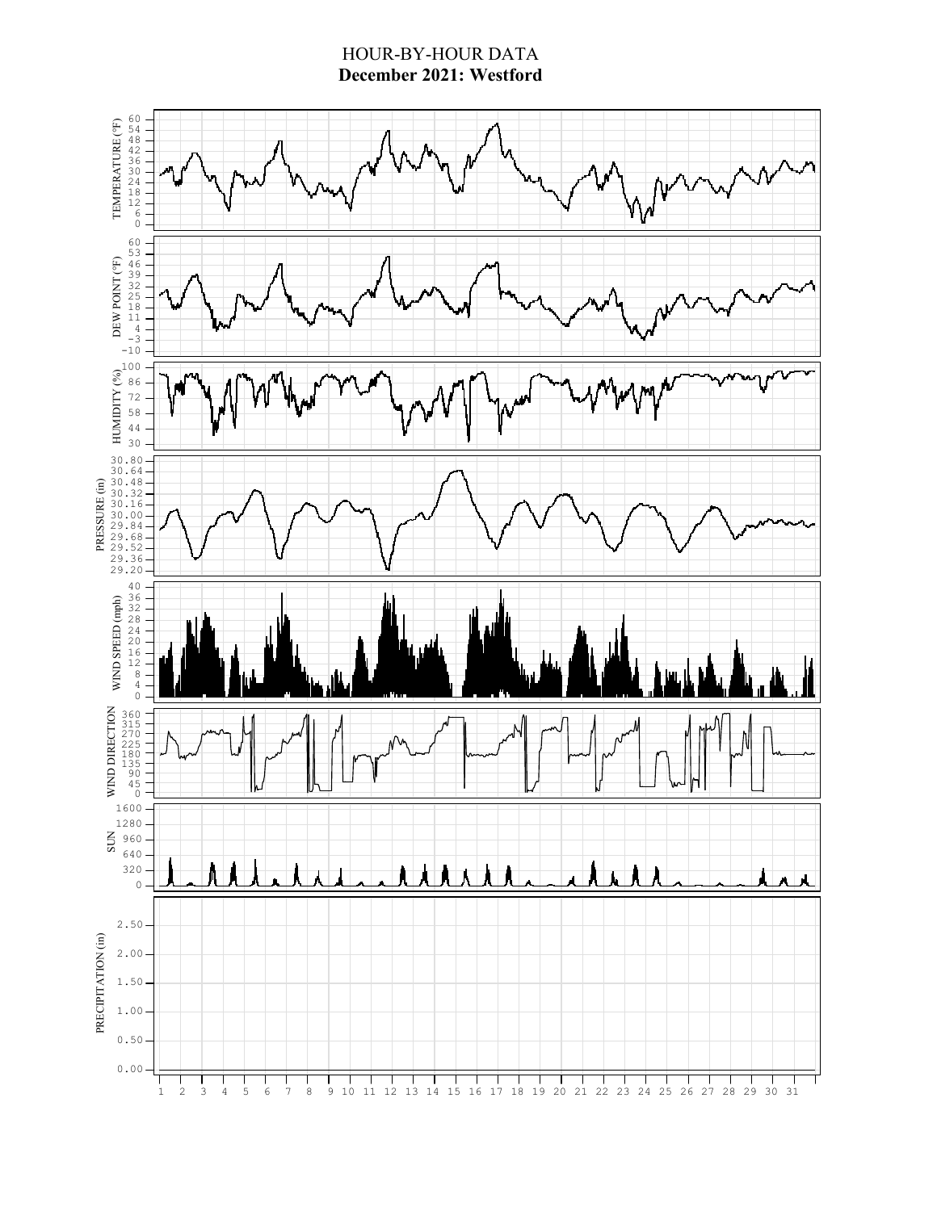### HOUR-BY-HOUR DATA **December 2021: Westford**